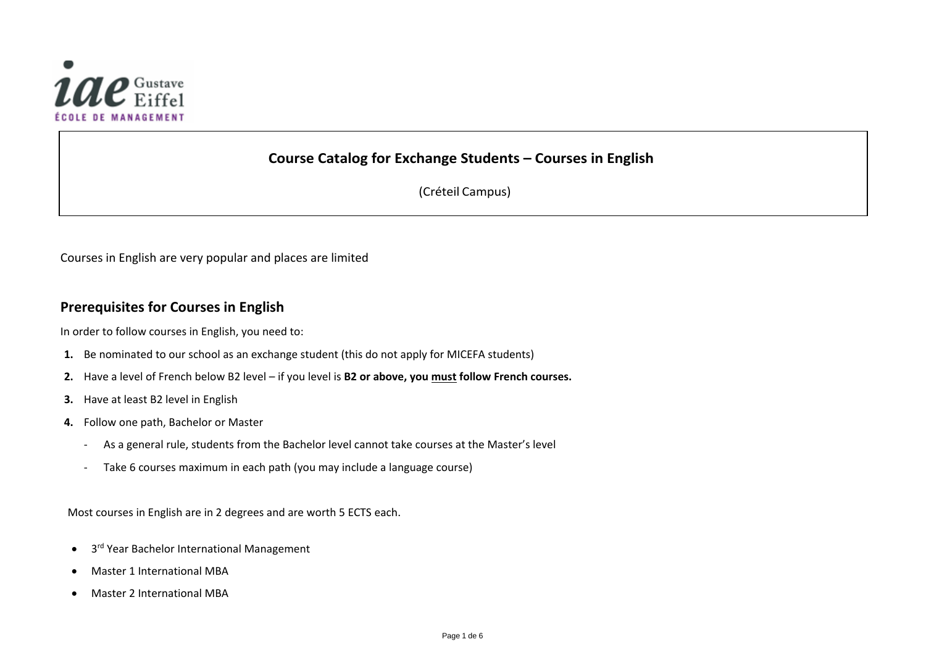

# **Course Catalog for Exchange Students – Courses in English**

(Créteil Campus)

Courses in English are very popular and places are limited

### **Prerequisites for Courses in English**

In order to follow courses in English, you need to:

- **1.** Be nominated to our school as an exchange student (this do not apply for MICEFA students)
- **2.** Have a level of French below B2 level if you level is **B2 or above, you must follow French courses.**
- **3.** Have at least B2 level in English
- **4.** Follow one path, Bachelor or Master
	- As a general rule, students from the Bachelor level cannot take courses at the Master's level
	- Take 6 courses maximum in each path (you may include a language course)

Most courses in English are in 2 degrees and are worth 5 ECTS each.

- 3<sup>rd</sup> Year Bachelor International Management
- Master 1 International MBA
- Master 2 International MBA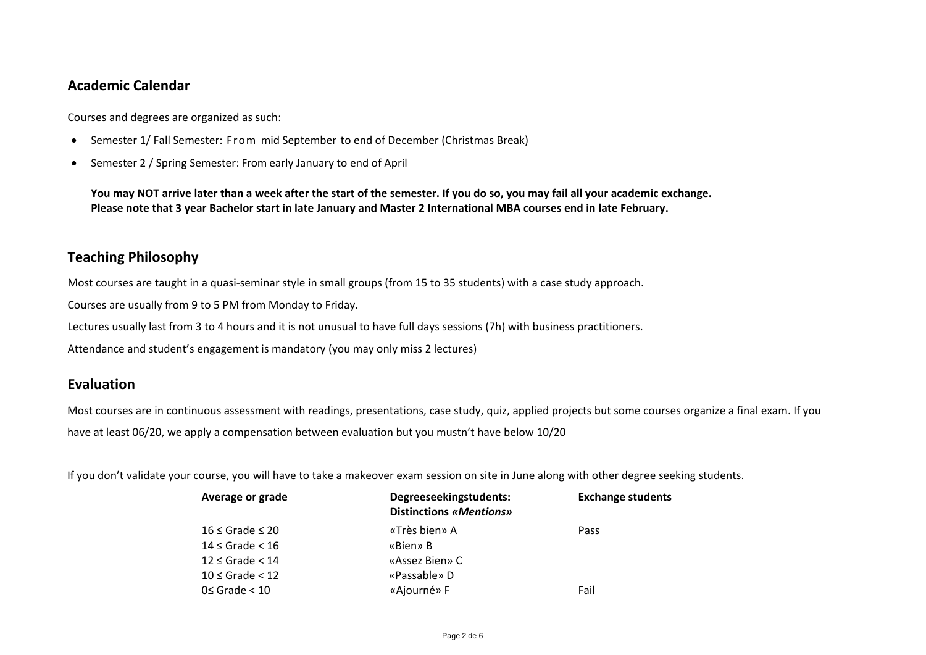### **Academic Calendar**

Courses and degrees are organized as such:

- Semester 1/ Fall Semester: From mid September to end of December (Christmas Break)
- Semester 2 / Spring Semester: From early January to end of April

**You may NOT arrive later than a week after the start of the semester. If you do so, you may fail all your academic exchange. Please note that 3 year Bachelor start in late January and Master 2 International MBA courses end in late February.**

## **Teaching Philosophy**

Most courses are taught in a quasi-seminar style in small groups (from 15 to 35 students) with a case study approach.

Courses are usually from 9 to 5 PM from Monday to Friday.

Lectures usually last from 3 to 4 hours and it is not unusual to have full days sessions (7h) with business practitioners.

Attendance and student's engagement is mandatory (you may only miss 2 lectures)

### **Evaluation**

Most courses are in continuous assessment with readings, presentations, case study, quiz, applied projects but some courses organize a final exam. If you have at least 06/20, we apply a compensation between evaluation but you mustn't have below 10/20

If you don't validate your course, you will have to take a makeover exam session on site in June along with other degree seeking students.

| Average or grade        | Degreeseekingstudents:<br>Distinctions «Mentions» | <b>Exchange students</b> |
|-------------------------|---------------------------------------------------|--------------------------|
| $16 \le$ Grade $\le 20$ | «Très bien» A                                     | Pass                     |
| $14 \le$ Grade $< 16$   | «Bien» B                                          |                          |
| $12 \le$ Grade $< 14$   | «Assez Bien» C                                    |                          |
| $10 \le$ Grade $< 12$   | «Passable» D                                      |                          |
| $0 \le$ Grade $< 10$    | «Ajourné» F                                       | Fail                     |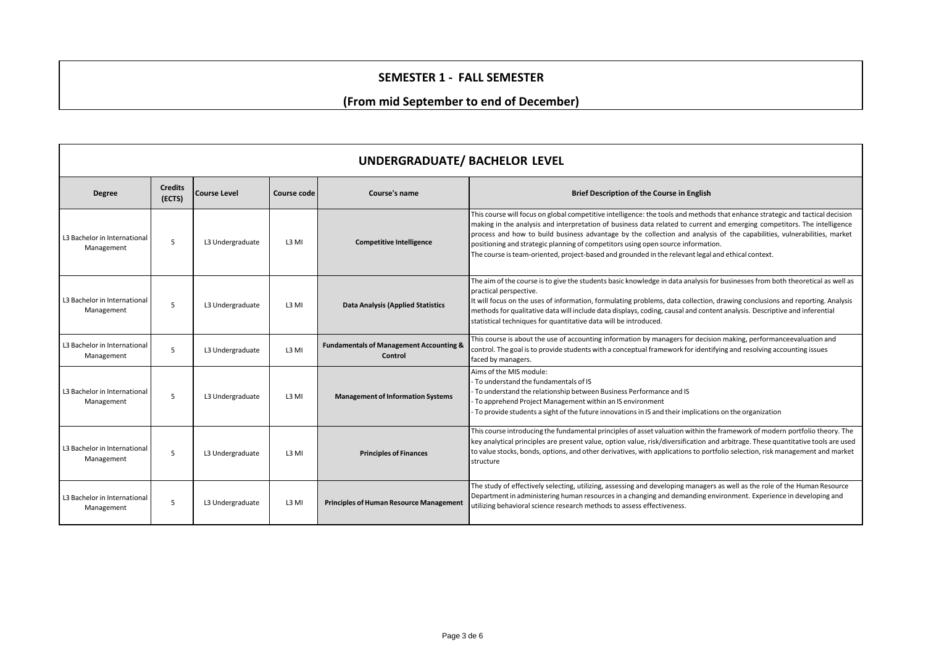#### **SEMESTER 1 - FALL SEMESTER**

### **(From mid September to end of December)**

| <b>UNDERGRADUATE/ BACHELOR LEVEL</b>       |                          |                     |             |                                                               |                                                                                                                                                                                                                                                                                                                                                                                                                                                                                                                                                                                |  |  |
|--------------------------------------------|--------------------------|---------------------|-------------|---------------------------------------------------------------|--------------------------------------------------------------------------------------------------------------------------------------------------------------------------------------------------------------------------------------------------------------------------------------------------------------------------------------------------------------------------------------------------------------------------------------------------------------------------------------------------------------------------------------------------------------------------------|--|--|
| <b>Degree</b>                              | <b>Credits</b><br>(ECTS) | <b>Course Level</b> | Course code | Course's name                                                 | Brief Description of the Course in English                                                                                                                                                                                                                                                                                                                                                                                                                                                                                                                                     |  |  |
| L3 Bachelor in International<br>Management | 5                        | L3 Undergraduate    | L3 MI       | <b>Competitive Intelligence</b>                               | This course will focus on global competitive intelligence: the tools and methods that enhance strategic and tactical decision<br>making in the analysis and interpretation of business data related to current and emerging competitors. The intelligence<br>process and how to build business advantage by the collection and analysis of the capabilities, vulnerabilities, market<br>positioning and strategic planning of competitors using open source information.<br>The course is team-oriented, project-based and grounded in the relevant legal and ethical context. |  |  |
| L3 Bachelor in International<br>Management | 5                        | L3 Undergraduate    | L3 MI       | <b>Data Analysis (Applied Statistics</b>                      | The aim of the course is to give the students basic knowledge in data analysis for businesses from both theoretical as well as<br>practical perspective.<br>It will focus on the uses of information, formulating problems, data collection, drawing conclusions and reporting. Analysis<br>methods for qualitative data will include data displays, coding, causal and content analysis. Descriptive and inferential<br>statistical techniques for quantitative data will be introduced.                                                                                      |  |  |
| L3 Bachelor in International<br>Management | 5                        | L3 Undergraduate    | L3 MI       | <b>Fundamentals of Management Accounting &amp;</b><br>Control | This course is about the use of accounting information by managers for decision making, performanceevaluation and<br>control. The goal is to provide students with a conceptual framework for identifying and resolving accounting issues<br>faced by managers.                                                                                                                                                                                                                                                                                                                |  |  |
| L3 Bachelor in International<br>Management | 5                        | L3 Undergraduate    | L3 MI       | <b>Management of Information Systems</b>                      | Aims of the MIS module:<br>- To understand the fundamentals of IS<br>- To understand the relationship between Business Performance and IS<br>- To apprehend Project Management within an IS environment<br>To provide students a sight of the future innovations in IS and their implications on the organization                                                                                                                                                                                                                                                              |  |  |
| L3 Bachelor in International<br>Management | 5                        | L3 Undergraduate    | L3 MI       | <b>Principles of Finances</b>                                 | This course introducing the fundamental principles of asset valuation within the framework of modern portfolio theory. The<br>key analytical principles are present value, option value, risk/diversification and arbitrage. These quantitative tools are used<br>to value stocks, bonds, options, and other derivatives, with applications to portfolio selection, risk management and market<br>structure                                                                                                                                                                    |  |  |
| L3 Bachelor in International<br>Management | .5                       | L3 Undergraduate    | L3 MI       | <b>Principles of Human Resource Management</b>                | The study of effectively selecting, utilizing, assessing and developing managers as well as the role of the Human Resource<br>Department in administering human resources in a changing and demanding environment. Experience in developing and<br>utilizing behavioral science research methods to assess effectiveness.                                                                                                                                                                                                                                                      |  |  |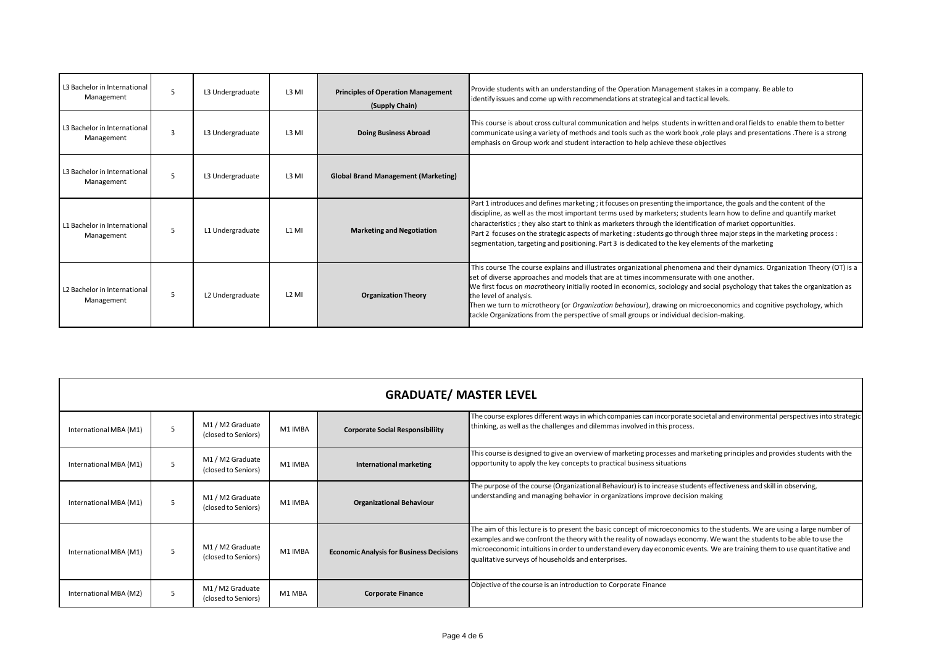| L3 Bachelor in International<br>Management | 5            | L3 Undergraduate | L3 MI             | <b>Principles of Operation Management</b><br>(Supply Chain) | Provide students with an understanding of the Operation Management stakes in a company. Be able to<br>identify issues and come up with recommendations at strategical and tactical levels.                                                                                                                                                                                                                                                                                                                                                                                                              |
|--------------------------------------------|--------------|------------------|-------------------|-------------------------------------------------------------|---------------------------------------------------------------------------------------------------------------------------------------------------------------------------------------------------------------------------------------------------------------------------------------------------------------------------------------------------------------------------------------------------------------------------------------------------------------------------------------------------------------------------------------------------------------------------------------------------------|
| L3 Bachelor in International<br>Management | $\mathbf{a}$ | L3 Undergraduate | L <sub>3</sub> MI | <b>Doing Business Abroad</b>                                | This course is about cross cultural communication and helps students in written and oral fields to enable them to better<br>communicate using a variety of methods and tools such as the work book, role plays and presentations. There is a strong<br>emphasis on Group work and student interaction to help achieve these objectives                                                                                                                                                                                                                                                                  |
| L3 Bachelor in International<br>Management | 5            | L3 Undergraduate | L3 MI             | <b>Global Brand Management (Marketing)</b>                  |                                                                                                                                                                                                                                                                                                                                                                                                                                                                                                                                                                                                         |
| L1 Bachelor in International<br>Management | 5            | L1 Undergraduate | L <sub>1</sub> MI | <b>Marketing and Negotiation</b>                            | Part 1 introduces and defines marketing; it focuses on presenting the importance, the goals and the content of the<br>discipline, as well as the most important terms used by marketers; students learn how to define and quantify market<br>characteristics; they also start to think as marketers through the identification of market opportunities.<br>Part 2 focuses on the strategic aspects of marketing : students go through three major steps in the marketing process :<br>segmentation, targeting and positioning. Part 3 is dedicated to the key elements of the marketing                 |
| L2 Bachelor in International<br>Management | -5           | L2 Undergraduate | $L2$ MI           | <b>Organization Theory</b>                                  | This course The course explains and illustrates organizational phenomena and their dynamics. Organization Theory (OT) is a<br>set of diverse approaches and models that are at times incommensurate with one another.<br>We first focus on <i>macrotheory</i> initially rooted in economics, sociology and social psychology that takes the organization as<br>the level of analysis.<br>Then we turn to microtheory (or Organization behaviour), drawing on microeconomics and cognitive psychology, which<br>tackle Organizations from the perspective of small groups or individual decision-making. |

| <b>GRADUATE/ MASTER LEVEL</b> |   |                                         |         |                                                 |                                                                                                                                                                                                                                                                                                                                                                                                                                    |  |  |
|-------------------------------|---|-----------------------------------------|---------|-------------------------------------------------|------------------------------------------------------------------------------------------------------------------------------------------------------------------------------------------------------------------------------------------------------------------------------------------------------------------------------------------------------------------------------------------------------------------------------------|--|--|
| International MBA (M1)        | 5 | M1 / M2 Graduate<br>(closed to Seniors) | M1 IMBA | <b>Corporate Social Responsibiliity</b>         | The course explores different ways in which companies can incorporate societal and environmental perspectives into strategic<br>thinking, as well as the challenges and dilemmas involved in this process.                                                                                                                                                                                                                         |  |  |
| International MBA (M1)        | 5 | M1 / M2 Graduate<br>(closed to Seniors) | M1 IMBA | International marketing                         | This course is designed to give an overview of marketing processes and marketing principles and provides students with the<br>opportunity to apply the key concepts to practical business situations                                                                                                                                                                                                                               |  |  |
| International MBA (M1)        | 5 | M1 / M2 Graduate<br>(closed to Seniors) | M1 IMBA | <b>Organizational Behaviour</b>                 | The purpose of the course (Organizational Behaviour) is to increase students effectiveness and skill in observing,<br>understanding and managing behavior in organizations improve decision making                                                                                                                                                                                                                                 |  |  |
| International MBA (M1)        | 5 | M1 / M2 Graduate<br>(closed to Seniors) | M1 IMBA | <b>Economic Analysis for Business Decisions</b> | The aim of this lecture is to present the basic concept of microeconomics to the students. We are using a large number of<br>examples and we confront the theory with the reality of nowadays economy. We want the students to be able to use the<br>microeconomic intuitions in order to understand every day economic events. We are training them to use quantitative and<br>qualitative surveys of households and enterprises. |  |  |
| International MBA (M2)        | 5 | M1/M2 Graduate<br>(closed to Seniors)   | M1 MBA  | <b>Corporate Finance</b>                        | Objective of the course is an introduction to Corporate Finance                                                                                                                                                                                                                                                                                                                                                                    |  |  |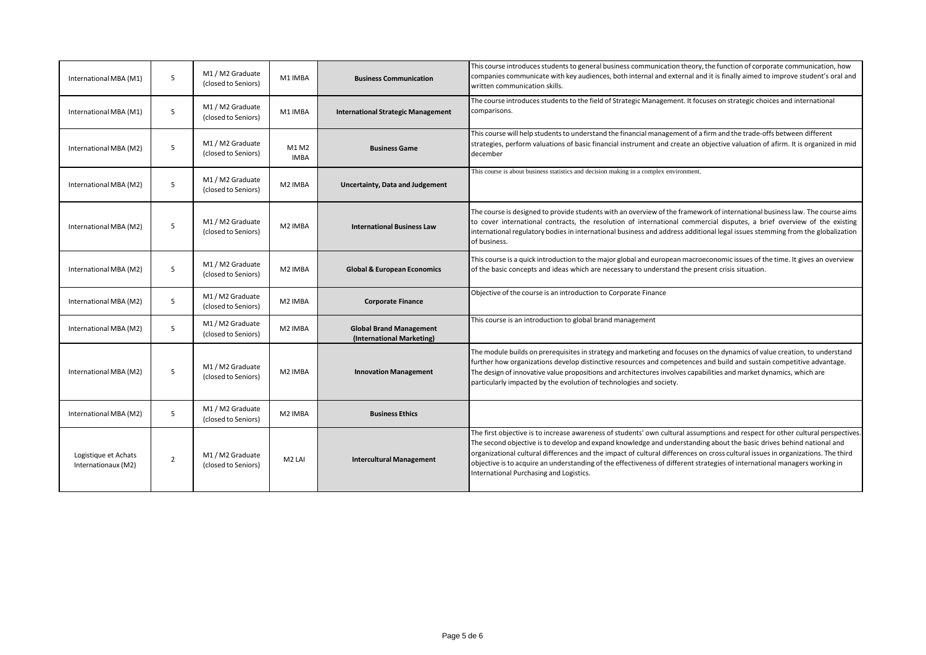| International MBA (M1)                      | 5              | M1 / M2 Graduate<br>(closed to Seniors) | M1 IMBA              | <b>Business Communication</b>                               | This course introduces students to general business communication theory, the function of corporate communication, how<br>companies communicate with key audiences, both internal and external and it is finally aimed to improve student's oral and<br>written communication skills.                                                                                                                                                                                                                                                                               |
|---------------------------------------------|----------------|-----------------------------------------|----------------------|-------------------------------------------------------------|---------------------------------------------------------------------------------------------------------------------------------------------------------------------------------------------------------------------------------------------------------------------------------------------------------------------------------------------------------------------------------------------------------------------------------------------------------------------------------------------------------------------------------------------------------------------|
| International MBA (M1)                      | 5              | M1 / M2 Graduate<br>(closed to Seniors) | M1 IMBA              | <b>International Strategic Management</b>                   | The course introduces students to the field of Strategic Management. It focuses on strategic choices and international<br>comparisons.                                                                                                                                                                                                                                                                                                                                                                                                                              |
| International MBA (M2)                      | 5              | M1 / M2 Graduate<br>(closed to Seniors) | M1 M2<br><b>IMBA</b> | <b>Business Game</b>                                        | This course will help students to understand the financial management of a firm and the trade-offs between different<br>strategies, perform valuations of basic financial instrument and create an objective valuation of afirm. It is organized in mid<br>december                                                                                                                                                                                                                                                                                                 |
| International MBA (M2)                      | 5              | M1 / M2 Graduate<br>(closed to Seniors) | M2 IMBA              | Uncertainty, Data and Judgement                             | This course is about business statistics and decision making in a complex environment.                                                                                                                                                                                                                                                                                                                                                                                                                                                                              |
| International MBA (M2)                      | 5              | M1 / M2 Graduate<br>(closed to Seniors) | M2 IMBA              | <b>International Business Law</b>                           | The course is designed to provide students with an overview of the framework of international business law. The course aims<br>to cover international contracts, the resolution of international commercial disputes, a brief overview of the existing<br>international regulatory bodies in international business and address additional legal issues stemming from the globalization<br>of business.                                                                                                                                                             |
| International MBA (M2)                      | 5              | M1 / M2 Graduate<br>(closed to Seniors) | M2 IMBA              | <b>Global &amp; European Economics</b>                      | This course is a quick introduction to the major global and european macroeconomic issues of the time. It gives an overview<br>of the basic concepts and ideas which are necessary to understand the present crisis situation.                                                                                                                                                                                                                                                                                                                                      |
| International MBA (M2)                      | 5              | M1/M2 Graduate<br>(closed to Seniors)   | M2 IMBA              | <b>Corporate Finance</b>                                    | Objective of the course is an introduction to Corporate Finance                                                                                                                                                                                                                                                                                                                                                                                                                                                                                                     |
| International MBA (M2)                      | 5              | M1 / M2 Graduate<br>(closed to Seniors) | M <sub>2</sub> IMBA  | <b>Global Brand Management</b><br>(International Marketing) | This course is an introduction to global brand management                                                                                                                                                                                                                                                                                                                                                                                                                                                                                                           |
| International MBA (M2)                      | 5              | M1 / M2 Graduate<br>(closed to Seniors) | M2 IMBA              | <b>Innovation Management</b>                                | The module builds on prerequisites in strategy and marketing and focuses on the dynamics of value creation, to understand<br>further how organizations develop distinctive resources and competences and build and sustain competitive advantage.<br>The design of innovative value propositions and architectures involves capabilities and market dynamics, which are<br>particularly impacted by the evolution of technologies and society.                                                                                                                      |
| International MBA (M2)                      | 5              | M1 / M2 Graduate<br>(closed to Seniors) | M <sub>2</sub> IMBA  | <b>Business Ethics</b>                                      |                                                                                                                                                                                                                                                                                                                                                                                                                                                                                                                                                                     |
| Logistique et Achats<br>Internationaux (M2) | $\overline{2}$ | M1 / M2 Graduate<br>(closed to Seniors) | M <sub>2</sub> LAI   | <b>Intercultural Management</b>                             | The first objective is to increase awareness of students' own cultural assumptions and respect for other cultural perspectives.<br>The second objective is to develop and expand knowledge and understanding about the basic drives behind national and<br>organizational cultural differences and the impact of cultural differences on cross cultural issues in organizations. The third<br>objective is to acquire an understanding of the effectiveness of different strategies of international managers working in<br>International Purchasing and Logistics. |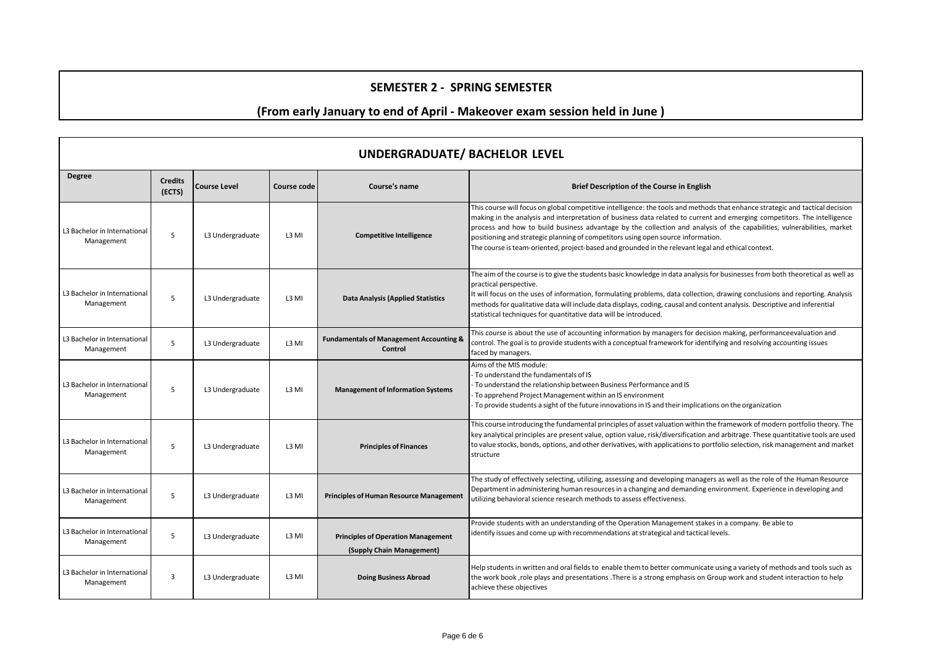### **SEMESTER 2 - SPRING SEMESTER**

# **(From early January to end of April - Makeover exam session held in June )**

| <b>UNDERGRADUATE/ BACHELOR LEVEL</b>       |                          |                     |                   |                                                                        |                                                                                                                                                                                                                                                                                                                                                                                                                                                                                                                                                                                |  |
|--------------------------------------------|--------------------------|---------------------|-------------------|------------------------------------------------------------------------|--------------------------------------------------------------------------------------------------------------------------------------------------------------------------------------------------------------------------------------------------------------------------------------------------------------------------------------------------------------------------------------------------------------------------------------------------------------------------------------------------------------------------------------------------------------------------------|--|
| <b>Degree</b>                              | <b>Credits</b><br>(ECTS) | <b>Course Level</b> | Course code       | Course's name                                                          | Brief Description of the Course in English                                                                                                                                                                                                                                                                                                                                                                                                                                                                                                                                     |  |
| L3 Bachelor in International<br>Management | $\overline{5}$           | L3 Undergraduate    | L <sub>3</sub> MI | <b>Competitive Intelligence</b>                                        | This course will focus on global competitive intelligence: the tools and methods that enhance strategic and tactical decision<br>making in the analysis and interpretation of business data related to current and emerging competitors. The intelligence<br>process and how to build business advantage by the collection and analysis of the capabilities, vulnerabilities, market<br>positioning and strategic planning of competitors using open source information.<br>The course is team-oriented, project-based and grounded in the relevant legal and ethical context. |  |
| L3 Bachelor in International<br>Management | 5                        | L3 Undergraduate    | L3 MI             | <b>Data Analysis (Applied Statistics</b>                               | The aim of the course is to give the students basic knowledge in data analysis for businesses from both theoretical as well as<br>practical perspective.<br>It will focus on the uses of information, formulating problems, data collection, drawing conclusions and reporting. Analysis<br>methods for qualitative data will include data displays, coding, causal and content analysis. Descriptive and inferential<br>statistical techniques for quantitative data will be introduced.                                                                                      |  |
| L3 Bachelor in International<br>Management | 5                        | L3 Undergraduate    | L3 MI             | <b>Fundamentals of Management Accounting &amp;</b><br>Control          | This course is about the use of accounting information by managers for decision making, performanceevaluation and<br>control. The goal is to provide students with a conceptual framework for identifying and resolving accounting issues<br>faced by managers.                                                                                                                                                                                                                                                                                                                |  |
| L3 Bachelor in International<br>Management | 5                        | L3 Undergraduate    | L3 MI             | <b>Management of Information Systems</b>                               | Aims of the MIS module:<br>To understand the fundamentals of IS<br>To understand the relationship between Business Performance and IS<br>To apprehend Project Management within an IS environment<br>To provide students a sight of the future innovations in IS and their implications on the organization                                                                                                                                                                                                                                                                    |  |
| L3 Bachelor in International<br>Management | 5                        | L3 Undergraduate    | L <sub>3</sub> MI | <b>Principles of Finances</b>                                          | This course introducing the fundamental principles of asset valuation within the framework of modern portfolio theory. The<br>key analytical principles are present value, option value, risk/diversification and arbitrage. These quantitative tools are used<br>to value stocks, bonds, options, and other derivatives, with applications to portfolio selection, risk management and market<br>structure                                                                                                                                                                    |  |
| L3 Bachelor in International<br>Management | 5                        | L3 Undergraduate    | L3 MI             | <b>Principles of Human Resource Management</b>                         | The study of effectively selecting, utilizing, assessing and developing managers as well as the role of the Human Resource<br>Department in administering human resources in a changing and demanding environment. Experience in developing and<br>utilizing behavioral science research methods to assess effectiveness.                                                                                                                                                                                                                                                      |  |
| L3 Bachelor in International<br>Management | 5                        | L3 Undergraduate    | L3 MI             | <b>Principles of Operation Management</b><br>(Supply Chain Management) | Provide students with an understanding of the Operation Management stakes in a company. Be able to<br>identify issues and come up with recommendations at strategical and tactical levels.                                                                                                                                                                                                                                                                                                                                                                                     |  |
| L3 Bachelor in International<br>Management | 3                        | L3 Undergraduate    | L3 MI             | <b>Doing Business Abroad</b>                                           | Help students in written and oral fields to enable them to better communicate using a variety of methods and tools such as<br>the work book, role plays and presentations . There is a strong emphasis on Group work and student interaction to help<br>achieve these objectives                                                                                                                                                                                                                                                                                               |  |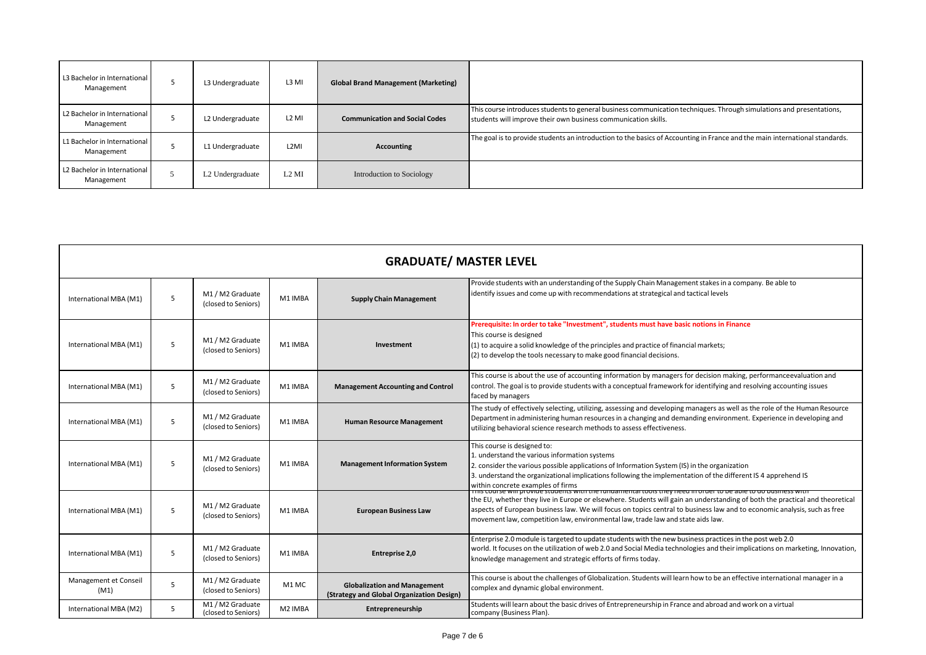| L3 Bachelor in International<br>Management | L3 Undergraduate             | L <sub>3</sub> MI | <b>Global Brand Management (Marketing)</b> |                                                                                                                                                                                        |
|--------------------------------------------|------------------------------|-------------------|--------------------------------------------|----------------------------------------------------------------------------------------------------------------------------------------------------------------------------------------|
| L2 Bachelor in International<br>Management | L2 Undergraduate             | L <sub>2</sub> MI | <b>Communication and Social Codes</b>      | This course introduces students to general business communication techniques. Through simulations and presentations,<br>students will improve their own business communication skills. |
| L1 Bachelor in International<br>Management | L1 Undergraduate             | L <sub>2</sub> MI | <b>Accounting</b>                          | The goal is to provide students an introduction to the basics of Accounting in France and the main international standards.                                                            |
| L2 Bachelor in International<br>Management | L <sub>2</sub> Undergraduate | $L2$ MI           | Introduction to Sociology                  |                                                                                                                                                                                        |

| <b>GRADUATE/ MASTER LEVEL</b> |   |                                         |                     |                                                                                  |                                                                                                                                                                                                                                                                                                                                                                                                                                                                     |  |  |
|-------------------------------|---|-----------------------------------------|---------------------|----------------------------------------------------------------------------------|---------------------------------------------------------------------------------------------------------------------------------------------------------------------------------------------------------------------------------------------------------------------------------------------------------------------------------------------------------------------------------------------------------------------------------------------------------------------|--|--|
| International MBA (M1)        | 5 | M1 / M2 Graduate<br>(closed to Seniors) | M1 IMBA             | <b>Supply Chain Management</b>                                                   | Provide students with an understanding of the Supply Chain Management stakes in a company. Be able to<br>identify issues and come up with recommendations at strategical and tactical levels                                                                                                                                                                                                                                                                        |  |  |
| International MBA (M1)        | 5 | M1 / M2 Graduate<br>(closed to Seniors) | M1 IMBA             | Investment                                                                       | Prerequisite: In order to take "Investment", students must have basic notions in Finance<br>This course is designed<br>(1) to acquire a solid knowledge of the principles and practice of financial markets;<br>(2) to develop the tools necessary to make good financial decisions.                                                                                                                                                                                |  |  |
| International MBA (M1)        | 5 | M1 / M2 Graduate<br>(closed to Seniors) | M1 IMBA             | <b>Management Accounting and Control</b>                                         | This course is about the use of accounting information by managers for decision making, performanceevaluation and<br>control. The goal is to provide students with a conceptual framework for identifying and resolving accounting issues<br>faced by managers                                                                                                                                                                                                      |  |  |
| International MBA (M1)        | 5 | M1 / M2 Graduate<br>(closed to Seniors) | M1 IMBA             | <b>Human Resource Management</b>                                                 | The study of effectively selecting, utilizing, assessing and developing managers as well as the role of the Human Resource<br>Department in administering human resources in a changing and demanding environment. Experience in developing and<br>utilizing behavioral science research methods to assess effectiveness.                                                                                                                                           |  |  |
| International MBA (M1)        | 5 | M1 / M2 Graduate<br>(closed to Seniors) | M1 IMBA             | <b>Management Information System</b>                                             | This course is designed to:<br>1. understand the various information systems<br>2. consider the various possible applications of Information System (IS) in the organization<br>3. understand the organizational implications following the implementation of the different IS 4 apprehend IS<br>within concrete examples of firms                                                                                                                                  |  |  |
| International MBA (M1)        | 5 | M1 / M2 Graduate<br>(closed to Seniors) | M1 IMBA             | <b>European Business Law</b>                                                     | <u>rnis course will provide students with the fundamental tools they need in order to be able to do business with</u><br>the EU, whether they live in Europe or elsewhere. Students will gain an understanding of both the practical and theoretical<br>aspects of European business law. We will focus on topics central to business law and to economic analysis, such as free<br>movement law, competition law, environmental law, trade law and state aids law. |  |  |
| International MBA (M1)        | 5 | M1 / M2 Graduate<br>(closed to Seniors) | M1 IMBA             | <b>Entreprise 2,0</b>                                                            | Enterprise 2.0 module is targeted to update students with the new business practices in the post web 2.0<br>world. It focuses on the utilization of web 2.0 and Social Media technologies and their implications on marketing, Innovation,<br>knowledge management and strategic efforts of firms today.                                                                                                                                                            |  |  |
| Management et Conseil<br>(M1) | 5 | M1 / M2 Graduate<br>(closed to Seniors) | M1 MC               | <b>Globalization and Management</b><br>(Strategy and Global Organization Design) | This course is about the challenges of Globalization. Students will learn how to be an effective international manager in a<br>complex and dynamic global environment.                                                                                                                                                                                                                                                                                              |  |  |
| International MBA (M2)        | 5 | M1 / M2 Graduate<br>(closed to Seniors) | M <sub>2</sub> IMBA | Entrepreneurship                                                                 | Students will learn about the basic drives of Entrepreneurship in France and abroad and work on a virtual<br>company (Business Plan).                                                                                                                                                                                                                                                                                                                               |  |  |